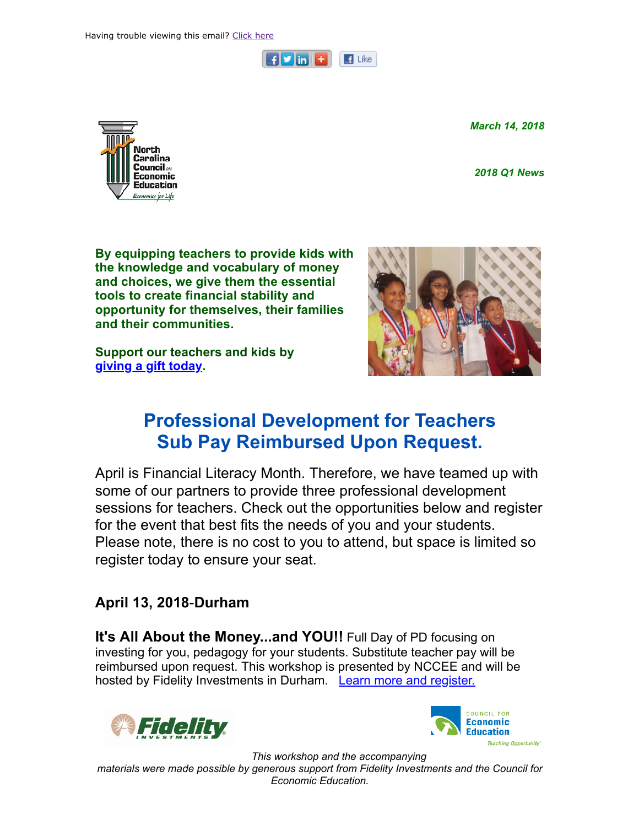

March 14, 2018

2018 Q1 News



By equipping teachers to provide kids with the knowledge and vocabulary of money and choices, we give them the essential tools to create financial stability and opportunity for themselves, their families and their communities.

Support our teachers and kids by [giving a gift today.](http://www.nccee.org/donate)



# Professional Development for Teachers Sub Pay Reimbursed Upon Request.

April is Financial Literacy Month. Therefore, we have teamed up with some of our partners to provide three professional development sessions for teachers. Check out the opportunities below and register for the event that best fits the needs of you and your students. Please note, there is no cost to you to attend, but space is limited so register today to ensure your seat.

## April 13, 2018-Durham

It's All About the Money...and YOU!! Full Day of PD focusing on investing for you, pedagogy for your students. Substitute teacher pay will be reimbursed upon request. This workshop is presented by NCCEE and will be hosted by Fidelity Investments in Durham. [Learn more and register.](http://events.r20.constantcontact.com/register/event?oeidk=a07ef727r77a45fa220&llr=ejjlmidab)





This workshop and the accompanying materials were made possible by generous support from Fidelity Investments and the Council for Economic Education.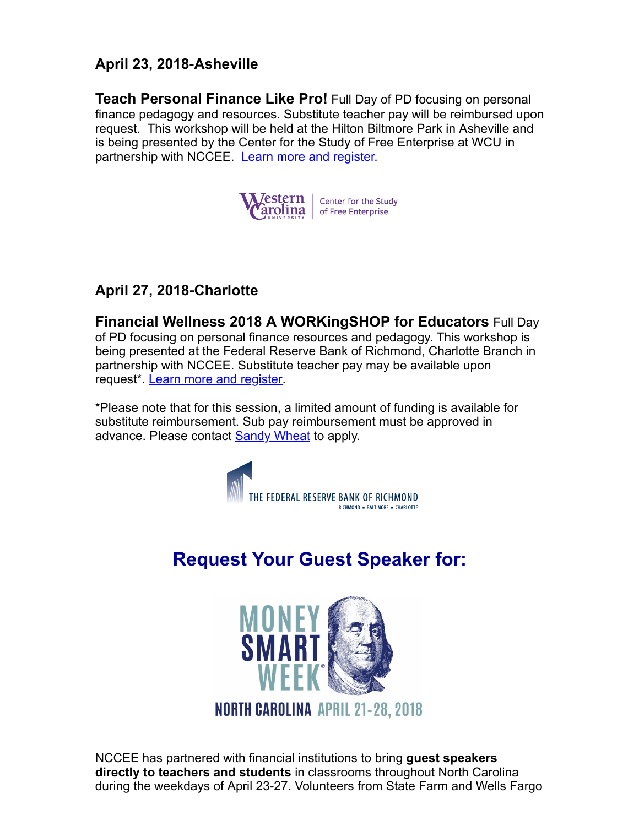## April 23, 2018-Asheville

**Teach Personal Finance Like Pro!** Full Day of PD focusing on personal finance pedagogy and resources. Substitute teacher pay will be reimbursed upon request. This workshop will be held at the Hilton Biltmore Park in Asheville and is being presented by the Center for the Study of Free Enterprise at WCU in partnership with NCCEE. [Learn more and register.](http://events.r20.constantcontact.com/register/event?oeidk=a07ef72cixe732cedbc&llr=ejjlmidab)



### April 27, 2018-Charlotte

Financial Wellness 2018 A WORKingSHOP for Educators Full Day of PD focusing on personal finance resources and pedagogy. This workshop is being presented at the Federal Reserve Bank of Richmond, Charlotte Branch in partnership with NCCEE. Substitute teacher pay may be available upon request\*. [Learn more and register](http://events.r20.constantcontact.com/register/event?oeidk=a07ef72lczg59dbcc8c&llr=ejjlmidab).

\*Please note that for this session, a limited amount of funding is available for substitute reimbursement. Sub pay reimbursement must be approved in advance. Please contact **Sandy Wheat** to apply.



# Request Your Guest Speaker for:



NCCEE has partnered with financial institutions to bring guest speakers directly to teachers and students in classrooms throughout North Carolina during the weekdays of April 23-27. Volunteers from State Farm and Wells Fargo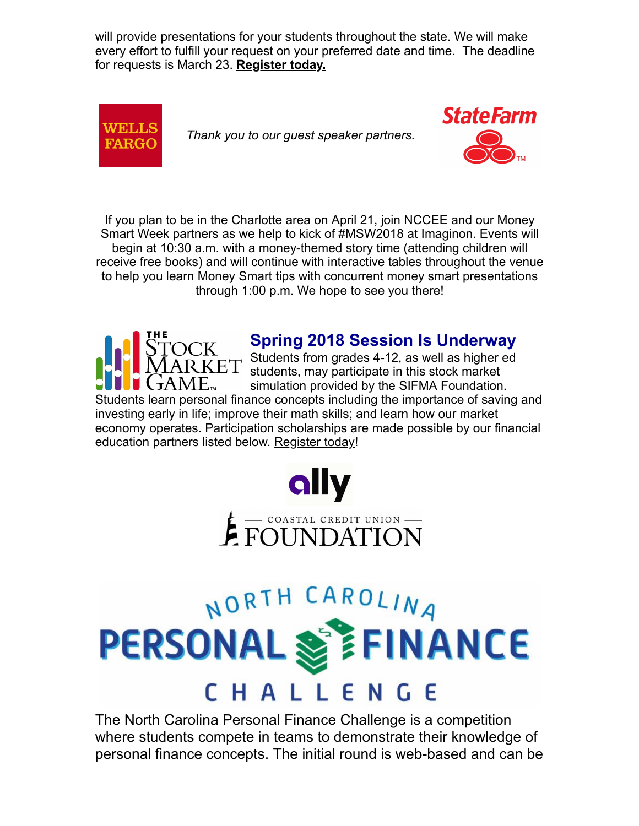will provide presentations for your students throughout the state. We will make every effort to fulfill your request on your preferred date and time. The deadline for requests is March 23. [Register today.](http://events.r20.constantcontact.com/register/event?oeidk=a07ef736zr8d7d299fd&llr=ejjlmidab)



Thank you to our guest speaker partners.



If you plan to be in the Charlotte area on April 21, join NCCEE and our Money Smart Week partners as we help to kick of #MSW2018 at Imaginon. Events will begin at 10:30 a.m. with a money-themed story time (attending children will receive free books) and will continue with interactive tables throughout the venue to help you learn Money Smart tips with concurrent money smart presentations through 1:00 p.m. We hope to see you there!



# Spring 2018 Session Is Underway

 $ET$  Students from grades 4-12, as well as higher ed students, may participate in this stock market simulation provided by the SIFMA Foundation.

Students learn personal finance concepts including the importance of saving and investing early in life; improve their math skills; and learn how our market economy operates. Participation scholarships are made possible by our financial education partners listed below. [Register today](http://www.stockmarketgame.org/)!



# NORTH CAROLINA PERSONAL S **FINANCE** CHALL E N - E

The North Carolina Personal Finance Challenge is a [competition](https://financechallenge.unl.edu/) where students compete in teams to demonstrate their knowledge of personal finance concepts. The initial round is web-based and can be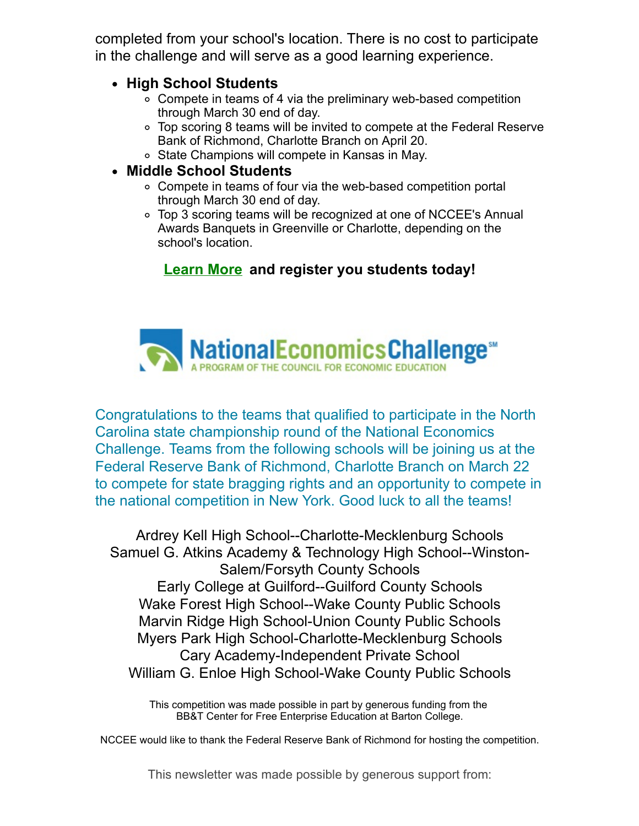completed from your school's location. There is no cost to participate in the challenge and will serve as a good learning experience.

#### • High School Students

- Compete in teams of 4 via the preliminary web-based competition through March 30 end of day.
- Top scoring 8 teams will be invited to compete at the Federal Reserve Bank of Richmond, Charlotte Branch on April 20.
- State Champions will compete in Kansas in May.

#### Middle School Students

- Compete in teams of four via the web-based competition portal through March 30 end of day.
- Top 3 scoring teams will be recognized at one of NCCEE's Annual Awards Banquets in Greenville or Charlotte, depending on the school's location.

## [Learn](https://financechallenge.unl.edu/) More and register you students today!



Congratulations to the teams that qualified to participate in the North Carolina state championship round of the National Economics Challenge. Teams from the following schools will be joining us at the Federal Reserve Bank of Richmond, Charlotte Branch on March 22 to compete for state bragging rights and an opportunity to compete in the national competition in New York. Good luck to all the teams!

Ardrey Kell High School--Charlotte-Mecklenburg Schools Samuel G. Atkins Academy & Technology High School--Winston-Salem/Forsyth County Schools Early College at Guilford--Guilford County Schools Wake Forest High School--Wake County Public Schools Marvin Ridge High School-Union County Public Schools Myers Park High School-Charlotte-Mecklenburg Schools Cary Academy-Independent Private School William G. Enloe High School-Wake County Public Schools

This competition was made possible in part by generous funding from the BB&T Center for Free Enterprise Education at Barton College.

NCCEE would like to thank the Federal Reserve Bank of Richmond for hosting the competition.

This newsletter was made possible by generous support from: